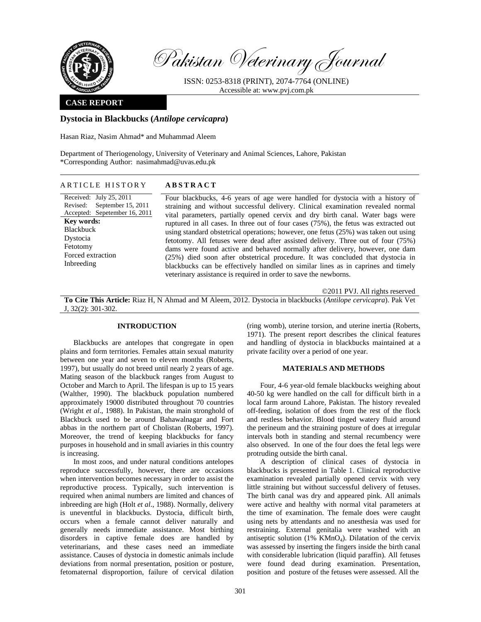

Pakistan Veterinary Journal

ISSN: 0253-8318 (PRINT), 2074-7764 (ONLINE) Accessible at: www.pvj.com.pk

## **CASE REPORT**

### **Dystocia in Blackbucks (***Antilope cervicapra***)**

Hasan Riaz, Nasim Ahmad\* and Muhammad Aleem

Department of Theriogenology, University of Veterinary and Animal Sciences, Lahore, Pakistan \*Corresponding Author: nasimahmad@uvas.edu.pk

# ARTICLE HISTORY **ABSTRACT**

Received: July 25, 2011 Revised: Accepted: Sepetember 16, 2011 September 15, 2011 **Key words:**  Blackbuck Dystocia Fetotomy Forced extraction Inbreeding

Four blackbucks, 4-6 years of age were handled for dystocia with a history of straining and without successful delivery. Clinical examination revealed normal vital parameters, partially opened cervix and dry birth canal. Water bags were ruptured in all cases. In three out of four cases (75%), the fetus was extracted out using standard obstetrical operations; however, one fetus (25%) was taken out using fetotomy. All fetuses were dead after assisted delivery. Three out of four (75%) dams were found active and behaved normally after delivery, however, one dam (25%) died soon after obstetrical procedure. It was concluded that dystocia in blackbucks can be effectively handled on similar lines as in caprines and timely veterinary assistance is required in order to save the newborns.

©2011 PVJ. All rights reserved

**To Cite This Article:** Riaz H, N Ahmad and M Aleem, 2012. Dystocia in blackbucks (*Antilope cervicapra*). Pak Vet J, 32(2): 301-302.

#### **INTRODUCTION**

Blackbucks are antelopes that congregate in open plains and form territories. Females attain sexual maturity between one year and seven to eleven months (Roberts, 1997), but usually do not breed until nearly 2 years of age. Mating season of the blackbuck ranges from August to October and March to April. The lifespan is up to 15 years (Walther, 1990). The blackbuck population numbered approximately 19000 distributed throughout 70 countries (Wright *et al*., 1988). In Pakistan, the main stronghold of Blackbuck used to be around Bahawalnagar and Fort abbas in the northern part of Cholistan (Roberts, 1997). Moreover, the trend of keeping blackbucks for fancy purposes in household and in small aviaries in this country is increasing.

In most zoos, and under natural conditions antelopes reproduce successfully, however, there are occasions when intervention becomes necessary in order to assist the reproductive process. Typically, such intervention is required when animal numbers are limited and chances of inbreeding are high (Holt *et al*., 1988). Normally, delivery is uneventful in blackbucks. Dystocia, difficult birth, occurs when a female cannot deliver naturally and generally needs immediate assistance. Most birthing disorders in captive female does are handled by veterinarians, and these cases need an immediate assistance. Causes of dystocia in domestic animals include deviations from normal presentation, position or posture, fetomaternal disproportion, failure of cervical dilation

(ring womb), uterine torsion, and uterine inertia (Roberts, 1971). The present report describes the clinical features and handling of dystocia in blackbucks maintained at a private facility over a period of one year.

#### **MATERIALS AND METHODS**

Four, 4-6 year-old female blackbucks weighing about 40-50 kg were handled on the call for difficult birth in a local farm around Lahore, Pakistan. The history revealed off-feeding, isolation of does from the rest of the flock and restless behavior. Blood tinged watery fluid around the perineum and the straining posture of does at irregular intervals both in standing and sternal recumbency were also observed. In one of the four does the fetal legs were protruding outside the birth canal.

A description of clinical cases of dystocia in blackbucks is presented in Table 1. Clinical reproductive examination revealed partially opened cervix with very little straining but without successful delivery of fetuses. The birth canal was dry and appeared pink. All animals were active and healthy with normal vital parameters at the time of examination. The female does were caught using nets by attendants and no anesthesia was used for restraining. External genitalia were washed with an antiseptic solution  $(1\% \text{ KMnO}_4)$ . Dilatation of the cervix was assessed by inserting the fingers inside the birth canal with considerable lubrication (liquid paraffin). All fetuses were found dead during examination. Presentation, position and posture of the fetuses were assessed. All the